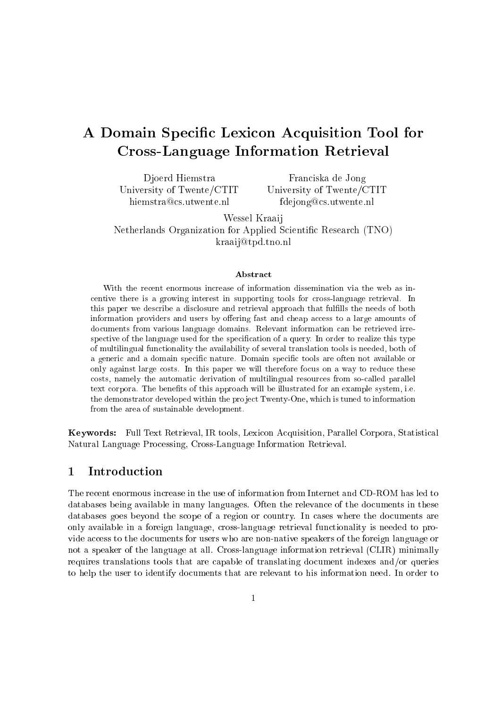# A Domain Specific Lexicon Acquisition Tool for Cross-Language Information Retrieval

Djoerd Hiemstra University of Twente/CTIT hiemstra@cs.utwente.nl

Franciska de Jong University of Twente/CTIT fdejong@cs.utwente.nl

Wessel Kraaij Netherlands Organization for Applied Scientic Research (TNO) kraaij@tpd.tno.nl

### Abstract

centive there is <sup>a</sup> growing interest in supporting tools for cross-language retrieval. In this paper we describe <sup>a</sup> disclosure and retrieval approach that fullls the needs of both information providers and users by oering fast and cheap access to <sup>a</sup> large amounts of documents from various language domains. Relevant information can be retrieved irrespective of the language used for the specication of <sup>a</sup> query. In order to realize this type of multilingual functionality the availability of several translation tools is needed, both of a generic and <sup>a</sup> domain specic nature. Domain specic tools are often not available or only against large costs. In this paper we will therefore focus on <sup>a</sup> way to reduce these costs, namely the automatic derivation of multilingual resources from so-called parallel text corpora. The benets of this approach will be illustrated for an example system, i.e. the demonstrator developed within the project Twenty-One, which is tuned to information from the area of sustainable development.

Keywords: Full Text Retrieval, IR tools, Lexicon Acquisition, Parallel Corpora, Statistical Natural Language Processing, Cross-Language Information Retrieval.

#### 1Introduction

The recent enormous increase in the use of information from Internet and CD-ROM has led to databases being available in many languages. Often the relevance of the documents in these databases goes beyond the scope of a region or country. In cases where the documents are only available in a foreign language, cross-language retrieval functionality is needed to provide access to the documents for users who are non-native speakers of the foreign language or not a speaker of the language at all. Cross-language information retrieval (CLIR) minimally requires translations tools that are capable of translating document indexes and/or queries to help the user to identify documents that are relevant to his information need. In order to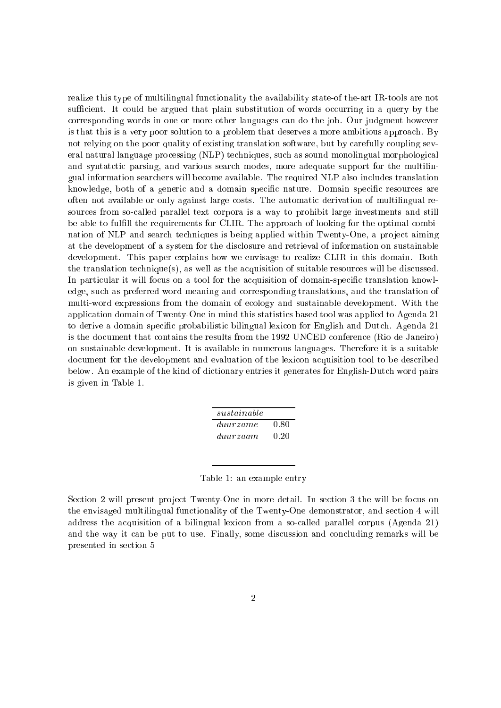realize this type of multilingual functionality the availability state-of the-art IR-tools are not sufficient. It could be argued that plain substitution of words occurring in a query by the corresponding words in one or more other languages can do the job. Our judgment however is that this is a very poor solution to a problem that deserves a more ambitious approach. By not relying on the poor quality of existing translation software, but by carefully coupling several natural language processing (NLP) techniques, such as sound monolingual morphological and syntatctic parsing, and various search modes, more adequate support for the multilingual information searchers will become available. The required NLP also includes translation knowledge, both of a generic and a domain specic nature. Domain specic resources are often not available or only against large costs. The automatic derivation of multilingual resources from so-called parallel text corpora is a way to prohibit large investments and still be able to fulfill the requirements for CLIR. The approach of looking for the optimal combination of NLP and search techniques is being applied within Twenty-One, a project aiming at the development of a system for the disclosure and retrieval of information on sustainable development. This paper explains how we envisage to realize CLIR in this domain. Both the translation technique(s), as well as the acquisition of suitable resources will be discussed. In particular it will focus on a tool for the acquisition of domain-specic translation knowledge, such as preferred word meaning and corresponding translations, and the translation of multi-word expressions from the domain of ecology and sustainable development. With the application domain of Twenty-One in mind this statistics based tool was applied to Agenda 21 to derive a domain specic probabilistic bilingual lexicon for English and Dutch. Agenda 21 is the document that contains the results from the 1992 UNCED conference (Rio de Janeiro) on sustainable development. It is available in numerous languages. Therefore it is a suitable document for the development and evaluation of the lexicon acquisition tool to be described below. An example of the kind of dictionary entries it generates for English-Dutch word pairs is given in Table 1.

| sustainable |      |
|-------------|------|
| duurzame    | 0.80 |
| duurzaam    | 0.20 |

|  |  |  | Table 1: an example entry |  |
|--|--|--|---------------------------|--|
|--|--|--|---------------------------|--|

Section 2 will present project Twenty-One in more detail. In section 3 the will be focus on the envisaged multilingual functionality of the Twenty-One demonstrator, and section 4 will address the acquisition of a bilingual lexicon from a so-called parallel corpus (Agenda 21) and the way it can be put to use. Finally, some discussion and concluding remarks will be presented in section 5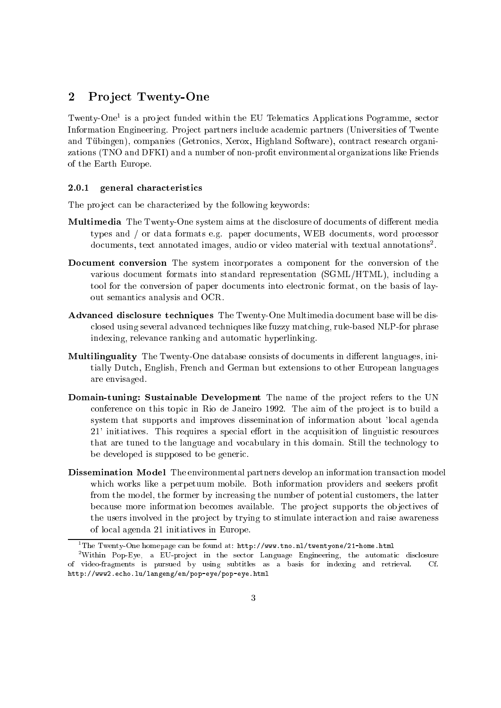#### 2Pro ject Twenty-One

Twenty-One1 is a pro ject funded within the EU Telematics Applications Pogramme, sector Information Engineering. Project partners include academic partners (Universities of Twente and Tubingen), companies (Getronics, Xerox, Highland Software), contract research organizations (TNO and DFKI) and a number of non-prot environmental organizations like Friends of the Earth Europe.

### 2.0.1 general characteristics

The project can be characterized by the following keywords:

- Multimedia The Twenty-One system aims at the disclosure of documents of different media types and / or data formats e.g. paper documents, WEB documents, word processor documents, text annotated images, audio or video material with textual annotations<sup>2</sup> .
- Document conversion The system incorporates a component for the conversion of the various document formats into standard representation (SGML/HTML), including a tool for the conversion of paper documents into electronic format, on the basis of layout semantics analysis and OCR.
- Advanced disclosure techniques The Twenty-One Multimedia document base will be disclosed using several advanced techniques like fuzzy matching, rule-based NLP-for phrase indexing, relevance ranking and automatic hyperlinking.
- Multilinguality The Twenty-One database consists of documents in different languages, initially Dutch, English, French and German but extensions to other European languages are envisaged.
- Domain-tuning: Sustainable Development The name of the project refers to the UN conference on this topic in Rio de Janeiro 1992. The aim of the project is to build a system that supports and improves dissemination of information about 'local agenda  $21'$  initiatives. This requires a special effort in the acquisition of linguistic resources that are tuned to the language and vocabulary in this domain. Still the technology to be developed is supposed to be generic.
- Dissemination Model The environmental partners develop an information transaction model which works like a perpetuum mobile. Both information providers and seekers profit from the model, the former by increasing the number of potential customers, the latter because more information becomes available. The project supports the objectives of the users involved in the project by trying to stimulate interaction and raise awareness of local agenda 21 initiatives in Europe.

<sup>1</sup> The Twenty-One homepage can be found at: http://www.tno.nl/twentyone/21-home.html

Within Pop-Eye, a EU-project in the sector Language Engineering, the automatic disclosure " of video-fragments is pursued by using subtitles as <sup>a</sup> basis for indexing and retrieval. Cf. http://www2.echo.lu/langeng/en/pop-eye/pop-eye.html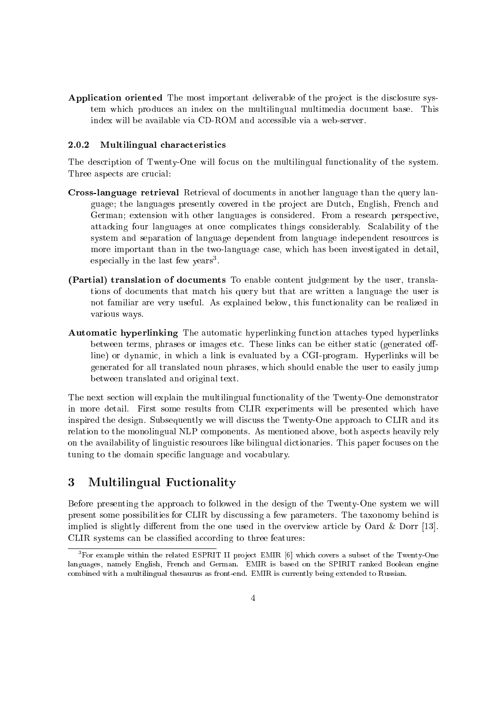Application oriented The most important deliverable of the project is the disclosure system which produces an index on the multilingual multimedia document base. This index will be available via CD-ROM and accessible via a web-server.

#### $2.0.2$ 2.0.2 Multilingual characteristics

The description of Twenty-One will focus on the multilingual functionality of the system. Three aspects are crucial:

- Cross-language retrieval Retrieval of documents in another language than the query language; the languages presently covered in the project are Dutch, English, French and German; extension with other languages is considered. From a research perspective, attacking four languages at once complicates things considerably. Scalability of the system and separation of language dependent from language independent resources is more important than in the two-language case, which has been investigated in detail, especially in the last lew years.
- (Partial) translation of documents To enable content judgement by the user, translations of documents that match his query but that are written a language the user is not familiar are very useful. As explained below, this functionality can be realized in various ways.
- Automatic hyperlinking The automatic hyperlinking function attaches typed hyperlinks between terms, phrases or images etc. These links can be either static (generated offline) or dynamic, in which a link is evaluated by a CGI-program. Hyperlinks will be generated for all translated noun phrases, which should enable the user to easily jump between translated and original text.

The next section will explain the multilingual functionality of the Twenty-One demonstrator in more detail. First some results from CLIR experiments will be presented which have inspired the design. Subsequently we will discuss the Twenty-One approach to CLIR and its relation to the monolingual NLP components. As mentioned above, both aspects heavily rely on the availability of linguistic resources like bilingual dictionaries. This paper focuses on the tuning to the domain specic language and vocabulary.

### 3 Multilingual Fuctionality

Before presenting the approach to followed in the design of the Twenty-One system we will present some possibilities for CLIR by discussing a few parameters. The taxonomy behind is implied is slightly different from the one used in the overview article by Oard  $\&$  Dorr [13]. CLIR systems can be classied according to three features:

For example within the related ESPRIT II project EMIR [6] which covers a subset of the Twenty-One  $\,$ languages, namely English, French and German. EMIR is based on the SPIRIT ranked Boolean engine combined with <sup>a</sup> multilingual thesaurus as front-end. EMIR is currently being extended to Russian.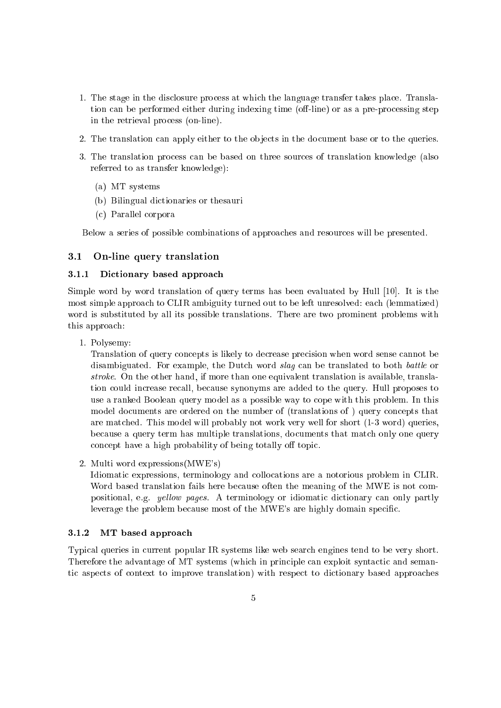- 1. The stage in the disclosure process at which the language transfer takes place. Translation can be performed either during indexing time (off-line) or as a pre-processing step in the retrieval process (on-line).
- 2. The translation can apply either to the objects in the document base or to the queries.
- 3. The translation process can be based on three sources of translation knowledge (also referred to as transfer knowledge):
	- (a) MT systems
	- (b) Bilingual dictionaries or thesauri
	- (c) Parallel corpora

Below a series of possible combinations of approaches and resources will be presented.

### 3.1 On-line query translation

## 3.1.1 Dictionary based approach

Simple word by word translation of query terms has been evaluated by Hull [10]. It is the most simple approach to CLIR ambiguity turned out to be left unresolved: each (lemmatized) word is substituted by all its possible translations. There are two prominent problems with this approach:

1. Polysemy:

Translation of query concepts is likely to decrease precision when word sense cannot be disambiguated. For example, the Dutch word slag can be translated to both battle or stroke. On the other hand, if more than one equivalent translation is available, translation could increase recall, because synonyms are added to the query. Hull proposes to use a ranked Boolean query model as a possible way to cope with this problem. In this model documents are ordered on the number of (translations of ) query concepts that are matched. This model will probably not work very well for short (1-3 word) queries, because a query term has multiple translations, documents that match only one query concept have a high probability of being totally off topic.

2. Multi word expressions(MWE's)

Idiomatic expressions, terminology and collocations are a notorious problem in CLIR. Word based translation fails here because often the meaning of the MWE is not compositional, e.g. yellow pages. A terminology or idiomatic dictionary can only partly leverage the problem because most of the MWE's are highly domain specic.

### 3.1.2 MT based approach

Typical queries in current popular IR systems like web search engines tend to be very short. Therefore the advantage of MT systems (which in principle can exploit syntactic and semantic aspects of context to improve translation) with respect to dictionary based approaches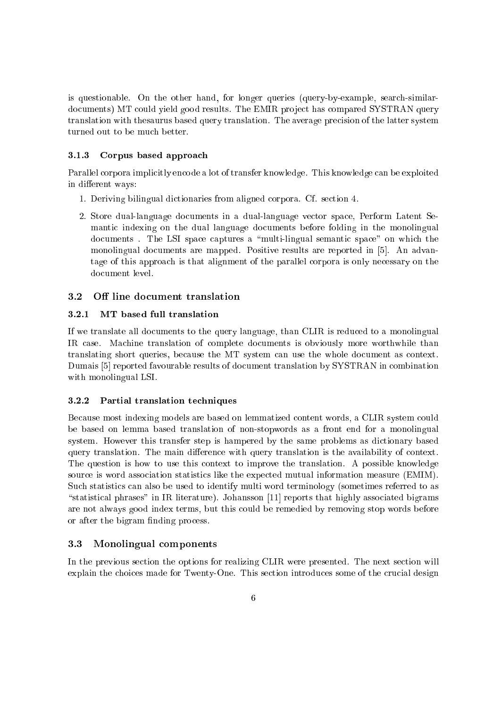is questionable. On the other hand, for longer queries (query-by-example, search-similardocuments) MT could yield good results. The EMIR project has compared SYSTRAN query translation with thesaurus based query translation. The average precision of the latter system turned out to be much better.

#### $3.1.3$ 3.1.3 Corpus based approach

Parallel corpora implicitly encode a lot of transfer knowledge. This knowledge can be exploited in different ways:

- 1. Deriving bilingual dictionaries from aligned corpora. Cf. section 4.
- 2. Store dual-language documents in a dual-language vector space, Perform Latent Semantic indexing on the dual language documents before folding in the monolingual documents. The LSI space captures a "multi-lingual semantic space" on which the monolingual documents are mapped. Positive results are reported in [5]. An advantage of this approach is that alignment of the parallel corpora is only necessary on the document level.

### 3.2 Off line document translation

#### $3.2.1$ MT based full translation

If we translate all documents to the query language, than CLIR is reduced to a monolingual IR case. Machine translation of complete documents is obviously more worthwhile than translating short queries, because the MT system can use the whole document as context. Dumais [5] reported favourable results of document translation by SYSTRAN in combination with monolingual LSI.

### 3.2.2 Partial translation techniques

Because most indexing models are based on lemmatized content words, a CLIR system could be based on lemma based translation of non-stopwords as a front end for a monolingual system. However this transfer step is hampered by the same problems as dictionary based query translation. The main difference with query translation is the availability of context. The question is how to use this context to improve the translation. A possible knowledge source is word association statistics like the expected mutual information measure (EMIM). Such statistics can also be used to identify multi word terminology (sometimes referred to as "statistical phrases" in IR literature). Johansson [11] reports that highly associated bigrams are not always good index terms, but this could be remedied by removing stop words before or after the bigram finding process.

### 3.3 Monolingual components

In the previous section the options for realizing CLIR were presented. The next section will explain the choices made for Twenty-One. This section introduces some of the crucial design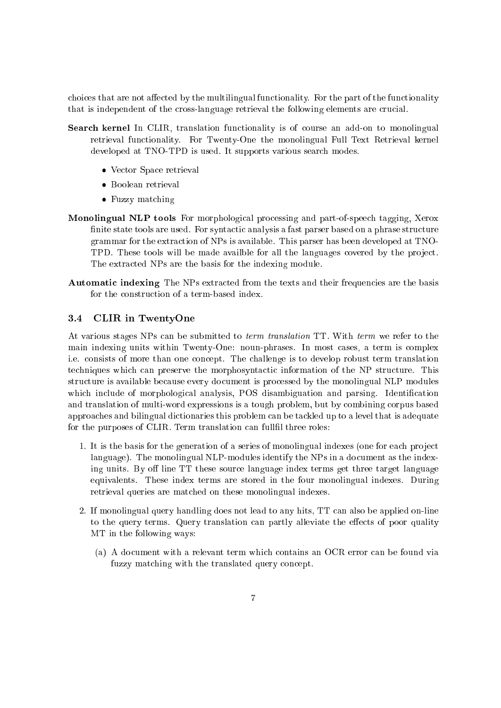choices that are not affected by the multilingual functionality. For the part of the functionality that is independent of the cross-language retrieval the following elements are crucial.

- Search kernel In CLIR, translation functionality is of course an add-on to monolingual retrieval functionality. For Twenty-One the monolingual Full Text Retrieval kernel developed at TNO-TPD is used. It supports various search modes.
	- Vector Space retrieval
	- Boolean retrieval
	- Fuzzy matching
- Monolingual NLP tools For morphological processing and part-of-speech tagging, Xerox finite state tools are used. For syntactic analysis a fast parser based on a phrase structure grammar for the extraction of NPs is available. This parser has been developed at TNO-TPD. These tools will be made availble for all the languages covered by the project. The extracted NPs are the basis for the indexing module.
- Automatic indexing The NPs extracted from the texts and their frequencies are the basis for the construction of a term-based index.

#### $3.4$ 3.4 CLIR in TwentyOne

At various stages NPs can be submitted to term translation TT. With term we refer to the main indexing units within Twenty-One: noun-phrases. In most cases, a term is complex i.e. consists of more than one concept. The challenge is to develop robust term translation techniques which can preserve the morphosyntactic information of the NP structure. This structure is available because every document is processed by the monolingual NLP modules which include of morphological analysis, POS disambiguation and parsing. Identification and translation of multi-word expressions is a tough problem, but by combining corpus based approaches and bilingual dictionaries this problem can be tackled up to a level that is adequate for the purposes of CLIR. Term translation can fullfil three roles:

- 1. It is the basis for the generation of a series of monolingual indexes (one for each project language). The monolingual NLP-modules identify the NPs in a document as the indexing units. By off line TT these source language index terms get three target language equivalents. These index terms are stored in the four monolingual indexes. During retrieval queries are matched on these monolingual indexes.
- 2. If monolingual query handling does not lead to any hits, TT can also be applied on-line to the query terms. Query translation can partly alleviate the effects of poor quality MT in the following ways:
	- (a) A document with a relevant term which contains an OCR error can be found via fuzzy matching with the translated query concept.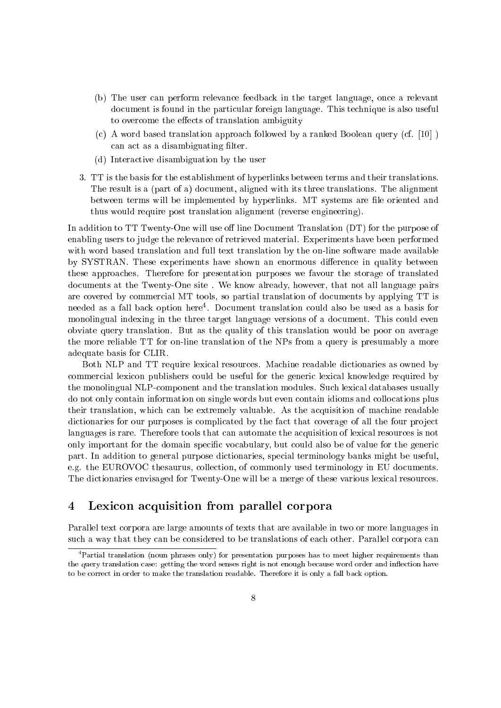- (b) The user can perform relevance feedback in the target language, once a relevant document is found in the particular foreign language. This technique is also useful to overcome the effects of translation ambiguity
- (c) A word based translation approach followed by a ranked Boolean query (cf. [10] ) can act as a disambiguating filter.
- (d) Interactive disambiguation by the user
- 3. TT is the basis for the establishment of hyperlinks between terms and their translations. The result is a (part of a) document, aligned with its three translations. The alignment between terms will be implemented by hyperlinks. MT systems are le oriented and thus would require post translation alignment (reverse engineering).

In addition to  $TT$  Twenty-One will use off line Document Translation  $(DT)$  for the purpose of enabling users to judge the relevance of retrieved material. Experiments have been performed with word based translation and full text translation by the on-line software made available by SYSTRAN. These experiments have shown an enormous difference in quality between these approaches. Therefore for presentation purposes we favour the storage of translated documents at the Twenty-One site . We know already, however, that not all language pairs are covered by commercial MT tools, so partial translation of documents by applying TT is needed as a fall back option here4 . Document translation could also be used as a basis for monolingual indexing in the three target language versions of a document. This could even obviate query translation. But as the quality of this translation would be poor on average the more reliable TT for on-line translation of the NPs from a query is presumably a more adequate basis for CLIR.

Both NLP and TT require lexical resources. Machine readable dictionaries as owned by commercial lexicon publishers could be useful for the generic lexical knowledge required by the monolingual NLP-component and the translation modules. Such lexical databases usually do not only contain information on single words but even contain idioms and collocations plus their translation, which can be extremely valuable. As the acquisition of machine readable dictionaries for our purposes is complicated by the fact that coverage of all the four project languages is rare. Therefore tools that can automate the acquisition of lexical resources is not only important for the domain specic vocabulary, but could also be of value for the generic part. In addition to general purpose dictionaries, special terminology banks might be useful, e.g. the EUROVOC thesaurus, collection, of commonly used terminology in EU documents. The dictionaries envisaged for Twenty-One will be a merge of these various lexical resources.

#### 4Lexicon acquisition from parallel corpora

Parallel text corpora are large amounts of texts that are available in two or more languages in such a way that they can be considered to be translations of each other. Parallel corpora can

 $\lceil$  Partial translation (noun phrases only) for presentation purposes has to meet higher requirements than the query translation case: getting the word senses right is not enough because word order and in
ection have to be correct in order to make the translation readable. Therefore it is only <sup>a</sup> fall back option.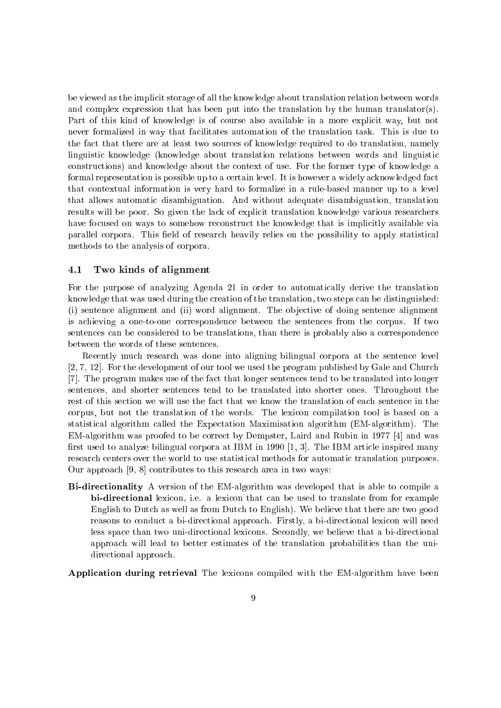be viewed as the implicit storage of all the knowledge about translation relation between words and complex expression that has been put into the translation by the human translator(s). Part of this kind of knowledge is of course also available in a more explicit way, but not never formalized in way that facilitates automation of the translation task. This is due to the fact that there are at least two sources of knowledge required to do translation, namely linguistic knowledge (knowledge about translation relations between words and linguistic constructions) and knowledge about the context of use. For the former type of knowledge a formal representation is possible up to a certain level. It is however a widely acknowledged fact that contextual information is very hard to formalize in a rule-based manner up to a level that allows automatic disambiguation. And without adequate disambiguation, translation results will be poor. So given the lack of explicit translation knowledge various researchers have focused on ways to somehow reconstruct the knowledge that is implicitly available via parallel corpora. This field of research heavily relies on the possibility to apply statistical methods to the analysis of corpora.

### 4.1 Two kinds of alignment

For the purpose of analyzing Agenda 21 in order to automatically derive the translation knowledge that was used during the creation of the translation, two steps can be distinguished: (i) sentence alignment and (ii) word alignment. The ob jective of doing sentence alignment is achieving a one-to-one correspondence between the sentences from the corpus. If two sentences can be considered to be translations, than there is probably also a correspondence between the words of these sentences.

Recently much research was done into aligning bilingual corpora at the sentence level [2, 7, 12]. For the development of our tool we used the program published by Gale and Church [7]. The program makes use of the fact that longer sentences tend to be translated into longer sentences, and shorter sentences tend to be translated into shorter ones. Throughout the rest of this section we will use the fact that we know the translation of each sentence in the corpus, but not the translation of the words. The lexicon compilation tool is based on a statistical algorithm called the Expectation Maximisation algorithm (EM-algorithm). The EM-algorithm was proofed to be correct by Dempster, Laird and Rubin in 1977 [4] and was first used to analyze bilingual corpora at IBM in 1990  $[1, 3]$ . The IBM article inspired many research centers over the world to use statistical methods for automatic translation purposes. Our approach [9, 8] contributes to this research area in two ways:

Bi-directionality A version of the EM-algorithm was developed that is able to compile a bi-directional lexicon, i.e. a lexicon that can be used to translate from for example English to Dutch as well as from Dutch to English). We believe that there are two good reasons to conduct a bi-directional approach. Firstly, a bi-directional lexicon will need less space than two uni-directional lexicons. Secondly, we believe that a bi-directional approach will lead to better estimates of the translation probabilities than the unidirectional approach.

Application during retrieval The lexicons compiled with the EM-algorithm have been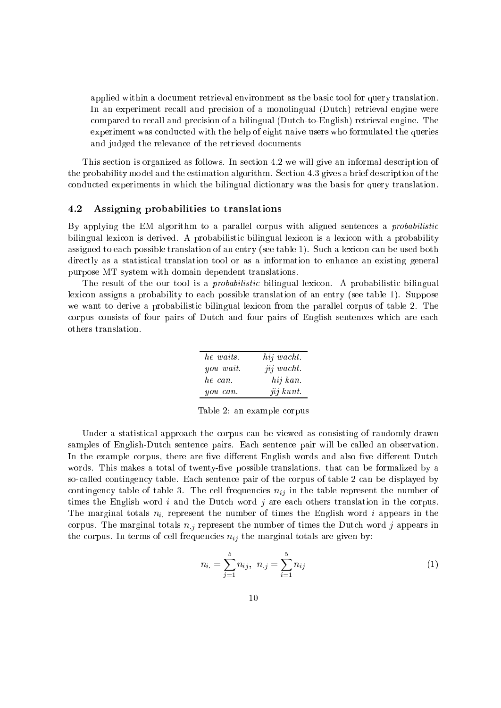applied within a document retrieval environment as the basic tool for query translation. In an experiment recall and precision of a monolingual (Dutch) retrieval engine were compared to recall and precision of a bilingual (Dutch-to-English) retrieval engine. The experiment was conducted with the help of eight naive users who formulated the queries and judged the relevance of the retrieved documents

This section is organized as follows. In section 4.2 we will give an informal description of the probability model and the estimation algorithm. Section 4.3 gives a brief description of the conducted experiments in which the bilingual dictionary was the basis for query translation.

#### 4.2 Assigning probabilities to translations

By applying the EM algorithm to a parallel corpus with aligned sentences a probabilistic bilingual lexicon is derived. A probabilistic bilingual lexicon is a lexicon with a probability assigned to each possible translation of an entry (see table 1). Such a lexicon can be used both directly as a statistical translation tool or as a information to enhance an existing general purpose MT system with domain dependent translations.

The result of the our tool is a *probabilistic* bilingual lexicon. A probabilistic bilingual lexicon assigns a probability to each possible translation of an entry (see table 1). Suppose we want to derive a probabilistic bilingual lexicon from the parallel corpus of table 2. The corpus consists of four pairs of Dutch and four pairs of English sentences which are each others translation.

| he waits. | hij wacht. |
|-----------|------------|
| you wait. | jij wacht. |
| he can.   | hij kan.   |
| you can.  | jij kunt.  |

Table 2: an example corpus

Under a statistical approach the corpus can be viewed as consisting of randomly drawn samples of English-Dutch sentence pairs. Each sentence pair will be called an observation In the example corpus, there are five different English words and also five different Dutch words. This makes a total of twenty-five possible translations. that can be formalized by a so-called contingency table. Each sentence pair of the corpus of table 2 can be displayed by contingency table of table 3. The cell frequencies  $n_{ij}$  in the table represent the number of times the English word  $i$  and the Dutch word  $j$  are each others translation in the corpus. The marginal totals  $n_i$  represent the number of times the English word i appears in the corpus. The marginal totals  $n_j$  represent the number of times the Dutch word j appears in the corpus. In terms of cell frequencies  $n_{ij}$  the marginal totals are given by:

$$
n_{i.} = \sum_{j=1}^{5} n_{ij}, \ \ n_{.j} = \sum_{i=1}^{5} n_{ij} \tag{1}
$$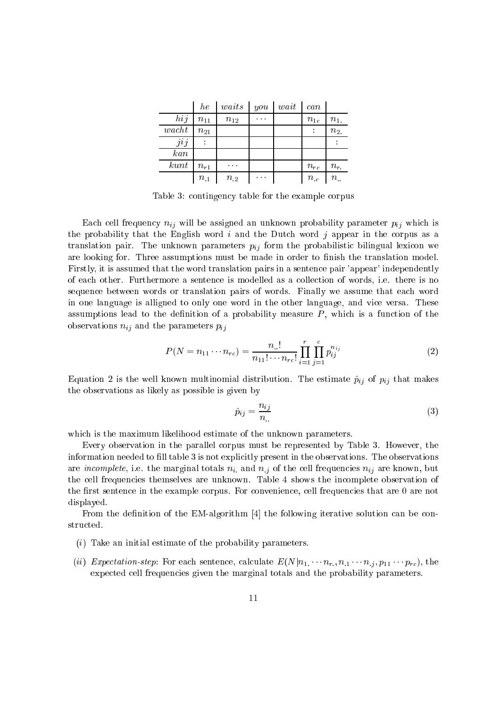|           | $_{he}$  | waits    | you      | wait | can      |             |
|-----------|----------|----------|----------|------|----------|-------------|
| hij       | $n_{11}$ | $n_{12}$ | $\cdots$ |      | $n_{1c}$ | $n_{1.}$    |
| wacht     | $n_{21}$ |          |          |      |          | $n_{2}$     |
| jij       |          |          |          |      |          |             |
| $\it kan$ |          |          |          |      |          |             |
| kunt      | $n_{r1}$ | .        |          |      | $n_{rc}$ | $n_r$       |
|           | $n_{.1}$ | $n_{.2}$ | $\cdots$ |      | $n_{c}$  | $n_{\cdot}$ |

Table 3: contingency table for the example corpus

Each cell frequency  $n_{ij}$  will be assigned an unknown probability parameter  $p_{ij}$  which is the probability that the English word  $i$  and the Dutch word  $j$  appear in the corpus as a translation pair. The unknown parameters  $p_{ij}$  form the probabilistic bilingual lexicon we are looking for. Three assumptions must be made in order to finish the translation model. Firstly, it is assumed that the word translation pairs in a sentence pair 'appear' independently of each other. Furthermore a sentence is modelled as a collection of words, i.e. there is no sequence between words or translation pairs of words. Finally we assume that each word in one language is alligned to only one word in the other language, and vice versa. These assumptions lead to the definition of a probability measure  $P$ , which is a function of the observations  $n_{ij}$  and the parameters  $p_{ij}$ 

$$
P(N = n_{11} \cdots n_{rc}) = \frac{n_{..}!}{n_{11}! \cdots n_{rc}!} \prod_{i=1}^{r} \prod_{j=1}^{c} p_{ij}^{n_{ij}}
$$
(2)

Equation 2 is the well known multinomial distribution. The estimate  $\hat{p}_{ij}$  of  $p_{ij}$  that makes the observations as likely as possible is given by

$$
\hat{p}_{ij} = \frac{n_{ij}}{n_{..}}\tag{3}
$$

which is the maximum likelihood estimate of the unknown parameters.

Every observation in the parallel corpus must be represented by Table 3. However, the information needed to fill table 3 is not explicitly present in the observations. The observations are *incomplete*, i.e. the marginal totals  $n_i$  and  $n_j$  of the cell frequencies  $n_{ij}$  are known, but the cell frequencies themselves are unknown. Table 4 shows the incomplete observation of the first sentence in the example corpus. For convenience, cell frequencies that are 0 are not displayed.

From the definition of the EM-algorithm  $\vert 4 \vert$  the following iterative solution can be constructed.

- (i) Take an initial estimate of the probability parameters.
- (ii) Expectation-step: For each sentence, calculate  $E(N|n_1 \cdots n_r, n_1 \cdots n_j, p_{11} \cdots p_{rc})$ , the expected cell frequencies given the marginal totals and the probability parameters.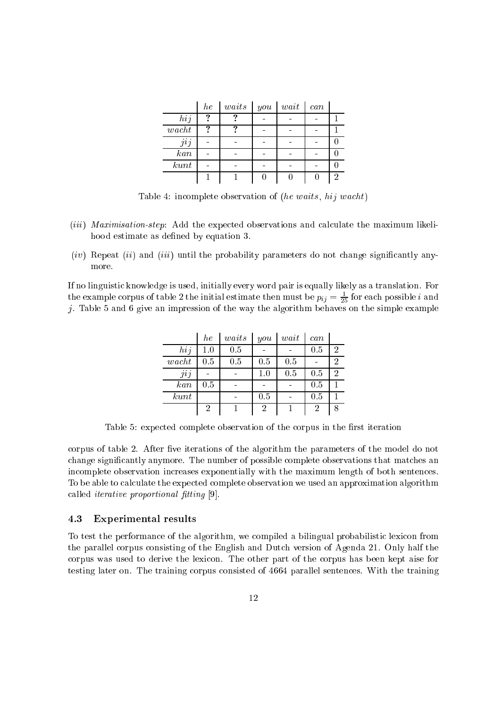|            | $_{he}$ | $waits$ | you | $wait$ | can |  |
|------------|---------|---------|-----|--------|-----|--|
| hij        | ഩ       |         |     |        |     |  |
| $\,$ wacht | റ       |         |     |        |     |  |
| jij        |         |         |     |        |     |  |
| kan        |         |         |     |        |     |  |
| kunt       |         |         |     |        |     |  |
|            |         |         |     |        |     |  |

Table 4: incomplete observation of (he waits, hij wacht)

- (*iii*) Maximisation-step: Add the expected observations and calculate the maximum likelihood estimate as defined by equation 3.
- $(iv)$  Repeat  $(ii)$  and  $(iii)$  until the probability parameters do not change significantly anymore.

If no linguistic knowledge is used, initially every word pair is equally likely as a translation. For the example corpus of table 2 the initial estimate then must be  $p_{ij} = \frac{1}{25}$  for each possible  $i$  and j. Table 5 and 6 give an impression of the way the algorithm behaves on the simple example

|                  | $_{he}$ | waits   | $_{you}$ | wait | can |                |
|------------------|---------|---------|----------|------|-----|----------------|
| hij              | 1.0     | 0.5     |          |      | 0.5 | $\overline{2}$ |
| $\mathit{wacht}$ | 0.5     | $0.5\,$ | 0.5      | 0.5  |     | 2              |
| jij              |         |         | 1.0      | 0.5  | 0.5 | $\overline{2}$ |
| $\it kan$        | $0.5\,$ |         |          |      | 0.5 |                |
| kunt             |         |         | 0.5      |      | 0.5 |                |
|                  | 2       |         | 2        |      | 2   | 8              |

Table 5: expected complete observation of the corpus in the first iteration

corpus of table 2. After five iterations of the algorithm the parameters of the model do not change signicantly anymore. The number of possible complete observations that matches an incomplete observation increases exponentially with the maximum length of both sentences. To be able to calculate the expected complete observation we used an approximation algorithm called *iterative proportional fitting*  $[9]$ .

### 4.3 Experimental results

To test the performance of the algorithm, we compiled a bilingual probabilistic lexicon from the parallel corpus consisting of the English and Dutch version of Agenda 21. Only half the corpus was used to derive the lexicon. The other part of the corpus has been kept aise for testing later on. The training corpus consisted of 4664 parallel sentences. With the training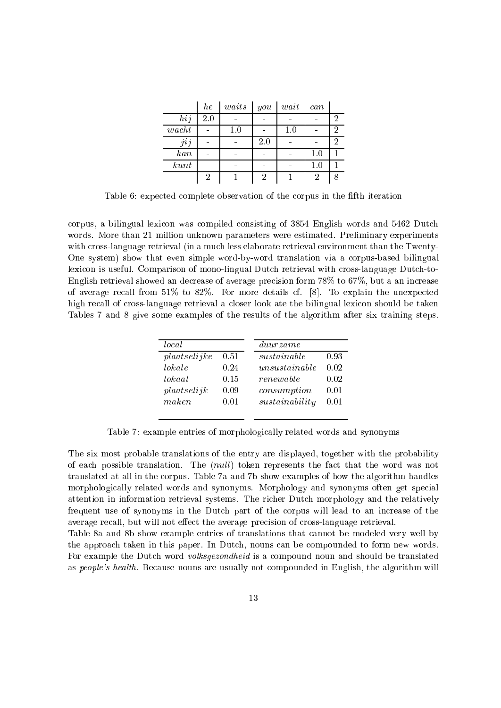|       | he  | waits | you | $wait$ | can |   |
|-------|-----|-------|-----|--------|-----|---|
| hij   | 2.0 |       |     |        |     | 2 |
| wacht |     | 1.0   |     | 1.0    |     | 2 |
| jij   |     |       | 2.0 |        |     | 2 |
| kan   |     |       |     |        | 1.0 |   |
| kunt  |     |       |     |        | 1.0 |   |
|       | 2   |       | 2   |        | 2   |   |

Table 6: expected complete observation of the corpus in the fth iteration

corpus, a bilingual lexicon was compiled consisting of 3854 English words and 5462 Dutch words. More than 21 million unknown parameters were estimated. Preliminary experiments with cross-language retrieval (in a much less elaborate retrieval environment than the Twenty-One system) show that even simple word-by-word translation via a corpus-based bilingual lexicon is useful. Comparison of mono-lingual Dutch retrieval with cross-language Dutch-to-English retrieval showed an decrease of average precision form 78% to 67%, but a an increase of average recall from 51% to 82%. For more details cf. [8]. To explain the unexpected high recall of cross-language retrieval a closer look ate the bilingual lexicon should be taken Tables 7 and 8 give some examples of the results of the algorithm after six training steps.

| Local        |      | duurzame                 |      |
|--------------|------|--------------------------|------|
| plaatselijke | 0.51 | sustainable              | 0.93 |
| lokale       | 0.24 | unsus tanable            | 0.02 |
| lokaal       | 0.15 | renewable                | 0.02 |
| plaatselijk  | 0.09 | consumption              | 0.01 |
| maken        | 0.01 | $s$ <i>ustainability</i> | 0.01 |
|              |      |                          |      |

Table 7: example entries of morphologically related words and synonyms

The six most probable translations of the entry are displayed, together with the probability of each possible translation. The (null) token represents the fact that the word was not translated at all in the corpus. Table 7a and 7b show examples of how the algorithm handles morphologically related words and synonyms. Morphology and synonyms often get special attention in information retrieval systems. The richer Dutch morphology and the relatively frequent use of synonyms in the Dutch part of the corpus will lead to an increase of the average recall, but will not effect the average precision of cross-language retrieval.

Table 8a and 8b show example entries of translations that cannot be modeled very well by the approach taken in this paper. In Dutch, nouns can be compounded to form new words. For example the Dutch word volksgezondheid is a compound noun and should be translated as people's health. Because nouns are usually not compounded in English, the algorithm will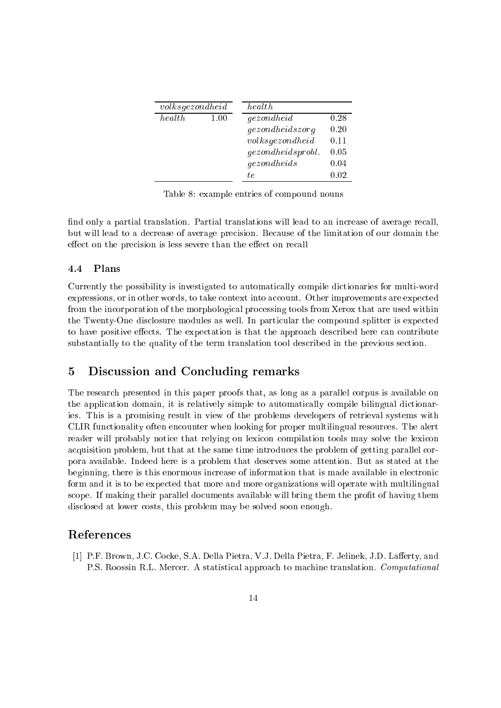| volksgezondheid |      | health.             |      |
|-----------------|------|---------------------|------|
| health          | 1.00 | gezondheid          | 0.28 |
|                 |      | gezondheidszorg     | 0.20 |
|                 |      | volksgezon dheid    | 0.11 |
|                 |      | gezondheidsproblem. | 0.05 |
|                 |      | gezondheids         | 0.04 |
|                 |      | tе                  | 0.02 |

Table 8: example entries of compound nouns

find only a partial translation. Partial translations will lead to an increase of average recall but will lead to a decrease of average precision. Because of the limitation of our domain the effect on the precision is less severe than the effect on recall

### 4.4 Plans

Currently the possibility is investigated to automatically compile dictionaries for multi-word expressions, or in other words, to take context into account. Other improvements are expected from the incorporation of the morphological processing tools from Xerox that are used within the Twenty-One disclosure modules as well. In particular the compound splitter is expected to have positive effects. The expectation is that the approach described here can contribute substantially to the quality of the term translation tool described in the previous section.

#### $\overline{5}$ Discussion and Concluding remarks

The research presented in this paper proofs that, as long as a parallel corpus is available on the application domain, it is relatively simple to automatically compile bilingual dictionaries. This is a promising result in view of the problems developers of retrieval systems with CLIR functionality often encounter when looking for proper multilingual resources. The alert reader will probably notice that relying on lexicon compilation tools may solve the lexicon acquisition problem, but that at the same time introduces the problem of getting parallel corpora available. Indeed here is a problem that deserves some attention. But as stated at the beginning, there is this enormous increase of information that is made available in electronic form and it is to be expected that more and more organizations will operate with multilingual scope. If making their parallel documents available will bring them the profit of having them disclosed at lower costs, this problem may be solved soon enough.

[1] P.F. Brown, J.C. Cocke, S.A. Della Pietra, V.J. Della Pietra, F. Jelinek, J.D. Lafferty, and P.S. Roossin R.L. Mercer. A statistical approach to machine translation. Computational